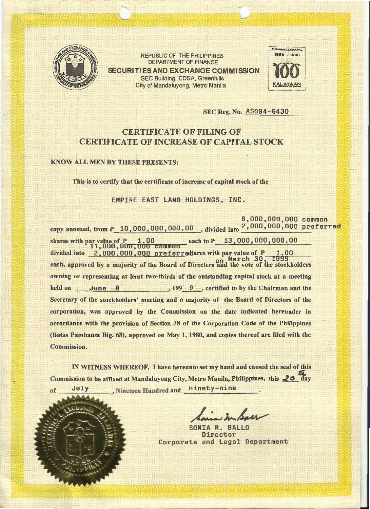

REPUBLIC OF THE PHILIPPINES DEPARTMENT OF FINANCE SECURITIES AND EXCHANGE COMMISSION SEC Building, EDSA, Greenhills City of Mandaluyong, Metro Manila **Access 1986** KALAXAAN



#### SEC Reg. No. AS094-6430

## CERTIFICATE OF FILING OF CERTIFICATE OF INCREASE OF CAPITAL STOCK

#### **KNOW ALL MEN BY THESE PRESENTS:**

This is to certify that the certificate of increase of capital stock of the

EMPIRE EAST LAND HOLDINGS, INC.

8,000,000,000 copy annexed, from P\_10,000,000,000.00 , divided into <sup>2</sup>,000,000,000 preferred shares with par value of P 1.00<br>11,000,000,000 common<br>common divided into 2.000.000.000 preferredares with par value of P on March 30, 1999 each, approved by a majority of the Board of Directors and the vote of the stockholders owning or representing at least two-thirds of the outstanding capital stock at a meeting held on  $\frac{1}{\frac{1}{2}}$  June  $\frac{8}{\frac{1}{2}}$  ,  $\frac{199}{\frac{1}{2}}$ , certified to by the Chairman and the Secretary of the stockholders' meeting and a majority of the Board of Directors of the corporation, was approved by the Commission on the date indicated hereunder in accordance with the provision of Section 38 of the Corporation Code of the Philippines (Batas Pambansa Big. 68), approved on May 1, 1980, and copies thereof are filed with the Commission.

IN WITNESS WHEREOF, I have hereunto set my hand and caused the seal of this  $\mathbb{Z}$  . Commission to be affixed at Mandaluyong City, Metro Manila, Philippines, this  $\triangleleft$  day July , Nineteen Hundred and ninety-nine of

BALL<sub>C</sub> Director Corporate and legal Department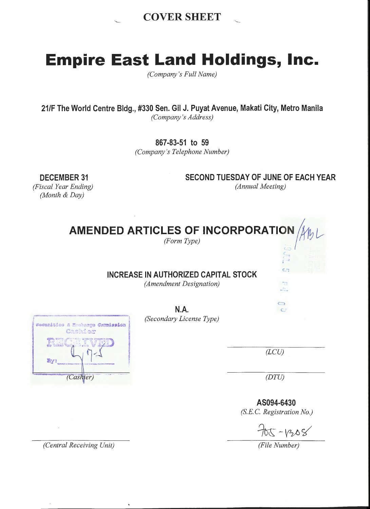

# **Empire East Land Holdings, Inc.**

*(Company's Full Name)* 

**21/F The World Centre Bldg., #330 Sen. Gil J. Puyat Avenue, Makati City, Metro Manila**  *(Company 's Address)* 

**867-83-51 to 59** 

*(Company's Telephone Number)* 

**DECEMBER 31**  *(Fiscal Year Ending) (Month* & *Day)* 

**SECOND TUESDAY OF JUNE OF EACH YEAR** 

*(Annual Meeting)* 

**AMENDED ARTICLES OF INCORPORATION** ~ ~\_r *(Form Type)* In

**INCREASE IN AUTHORIZED CAPITAL STOCK** 

*(Amendment Designation)* 

·r--Qm·-.. - ... -. -~ ' **N .A. n (Secondary License Type)** (Secondary License Type) Cashier **EECRIVED**  $\mathbb{Z}_{\mathbb{Z}}$  (*LCU)*  $\mathbb{Z}_{\mathbb{Z}}$  (*LCU)* (Cashier)

 $C_{1}$ 

 $rac{1}{\sqrt{2}}$ 2

 $\bigcirc$ 

c

*(DTU)* 

**AS094-6430**  *(S.E.* C. *Registration No.)* 

 $705 - 6208$ 

*(Central Receiving Unit) (File Number)*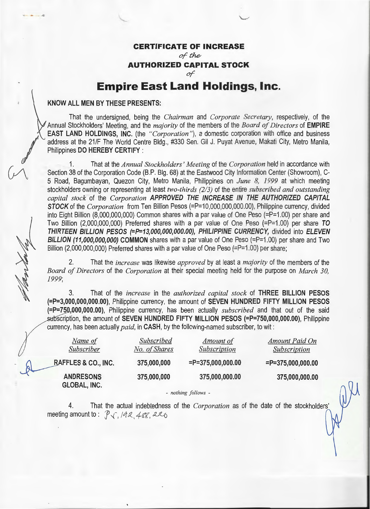#### **CERTIFICATE OF INCREASE**

"-""'

*of the* 

**AUTHORIZED CAPITAL STOCK** 

*oT* 

# **Empire East Land Holdings, Inc.**

#### **KNOW ALL MEN BY THESE PRESENTS:**

**I** 

 $\mathcal{U}$ 

There level

That the undersigned, being the *Chairman* and *Corporate Secretary,* respectively, of the Annual Stockholders' Meeting, and the *majority* of the members of the *Board of Directors* of **EMPIRE EAST LAND HOLDINGS, INC.** (the *"Corporation"),* a domestic corporation with office and business address at the 21/F The World Centre Bldg., #330 Sen. Gil J. Puyat Avenue, Makati City, Metro Manila, Philippines **DO HEREBY CERTIFY** :

1. That at the *Annual Stockholders' Meeting* of the *Corporation* held in accordance with Section 38 of the Corporation Code (B.P. Big. 68) at the Eastwood City Information Center (Showroom), C-5 Road, Bagumbayan, Quezon City, Metro Manila, Philippines on *June 8, 1999* at which meeting stockholders owning or representing at least *two-thirds (2/3)* of the entire *subscribed and outstanding capital stock* of the *Corporation* **APPROVED THE INCREASE IN THE AUTHORIZED CAPITAL STOCK** of the *Corporation* from Ten Billion Pesos (=P=10,000,000,000.00), Philippine currency, divided into Eight Billion (8,000,000,000) Common shares with a par value of One Peso (=P=1.00) per share and Two Billion (2,000,000,000) Preferred shares with a par value of One Peso (=P=1.00) per share **TO THIRTEEN BILLION PESOS (=P=13,000,000,000.00), PHILIPPINE CURRENCY,** divided into **ELEVEN BILLION (11,000,000,000) COMMON** shares with a par value of One Peso (=P=1.00) per share and Two Billion (2,000,000,000) Preferred shares with a par value of One Peso (=P=1.00) per share;

2. That the *increase* was likewise *approved* by at least a *majority* of the members of the *Board of Directors* of the *Corporation* at their special meeting held for the purpose on *March 30, 1999;* 

3. That of the *increase* in the *authorized capital stock* of **THREE BILLION PESOS (=P=3,000,000,000.00),** Philippine currency, the amount of **SEVEN HUNDRED FIFTY MILLION PESOS**  (=P=750,000,000.00), Philippine currency, has been actually *subscribed* and that out of the said subscription, the amount of **SEVEN HUNDRED FIFTY MILLION PESOS (=P=750,000,000.00)**, Philippine currency, has been actually *paid,* in **CASH,** by the following-named subscriber, to wit :

|              | Name of<br>Subscriber            | Subscribed<br>No. of Shares | Amount of<br>Subscription | Amount Paid On<br>Subscription |
|--------------|----------------------------------|-----------------------------|---------------------------|--------------------------------|
| $\mathbb{R}$ | RAFFLES & CO., INC.              | 375,000,000                 | $= P = 375,000,000.00$    | $=$ P=375,000,000.00           |
|              | <b>ANDRESONS</b><br>GLOBAL, INC. | 375,000,000                 | 375,000,000.00            | 375,000,000.00                 |

- *nothing follows* -

4. That the actual indebtedness of the *Corporation* as of the date of the stockholders' meeting amount to:  $\mathcal{P}_{\sqrt{h}}$  /92, 488, 226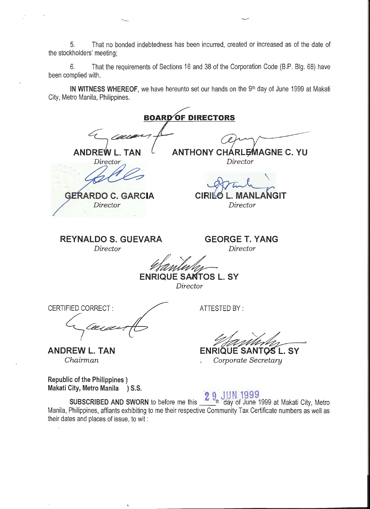5. That no bonded indebtedness has been incurred, created or increased as of the date of the stockholders' meeting;

'----'

6. That the requirements of Sections 16 and 38 of the Corporation Code (B.P. Blg. 68) have been complied with.

**IN WITNESS WHEREOF**, we have hereunto set our hands on the 9<sup>th</sup> day of June 1999 at Makati City, Metro Manila, Philippines.

**BOARD OF DIRECTORS** n n 4:.~ **ANDREW L. TAN ANTHONY CHARLEMAGNE C. YU** Director *Director*   $\diagdown$ **GERARDO C. GARCIA CIRIL** GIT CIR GIT *Director Director*  **REYNALDO 5. GUEVARA GEORGE T. YANG**  *Director Director*  **ENRIQUE SANTOS L. SY** *Director*  CERTIFIED CORRECT : ATTESTED BY : c;~~ **ANDREW L. TAN ENRIQUE SANTOS L. SY** *Chairman Corporate Secretary* 

**Republic of the Philippines** ) **Makati City, Metro Manila ) S.S.** 

**2 9 JUN 1999** 

**SUBSCRIBED AND SWORN** to before me this with day of June 1999 at Makati City, Metro Manila, Philippines, affiants exhibiting to me their respective Community Tax Certificate numbers as well as their dates and places of issue, to wit :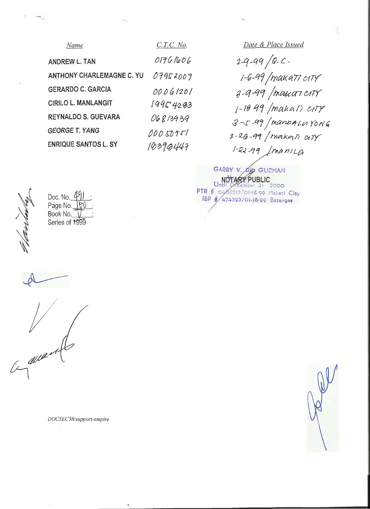| Name                             | $C.T.C.$ No. |
|----------------------------------|--------------|
| <b>ANDREW L. TAN</b>             | 01761606     |
| <b>ANTHONY CHARLEMAGNE C. YU</b> | 07952007     |
| <b>GERARDO C. GARCIA</b>         | 00061201     |
| <b>CIRILO L. MANLANGIT</b>       | 19954203     |
| <b>REYNALDO S. GUEVARA</b>       | 06813939     |
| <b>GEORGE T. YANG</b>            | 00050751     |
| <b>ENRIQUE SANTOS L. SY</b>      | 10390447     |

*Date* & *Place Issued*  2-9-99/Q.C. ~-q9 *jtnakctTl* &~Jl/ *8 \_q* -qCf *jtAatcrn UTY j- IB q1* jlrlakan *t1TY*  3-5-99 /manbalu Yong 1-- *e.& -q1 1* rn~kql) *01 7Y*  I-*rz* .2 -f?J 1 }/'>1 a n *1* L&t

GARRY V. OG GUZMAN<br>NOTARY PUBLIC<br>Until December 31 2000  $PTR$   $#$   $O468217/01.18.99$  Makati City IBP #/474593/01-18-99 Batangas

<sup>~</sup>

Doc. No.  $\frac{u}{\sqrt{u}}$ Page No. <u>(OV ;</u> Book No.  $\bigvee$  ; Series of 1999

<sup>~</sup>

 $\mathcal{V}$ ~~

*DOCSEC38/support-empire*